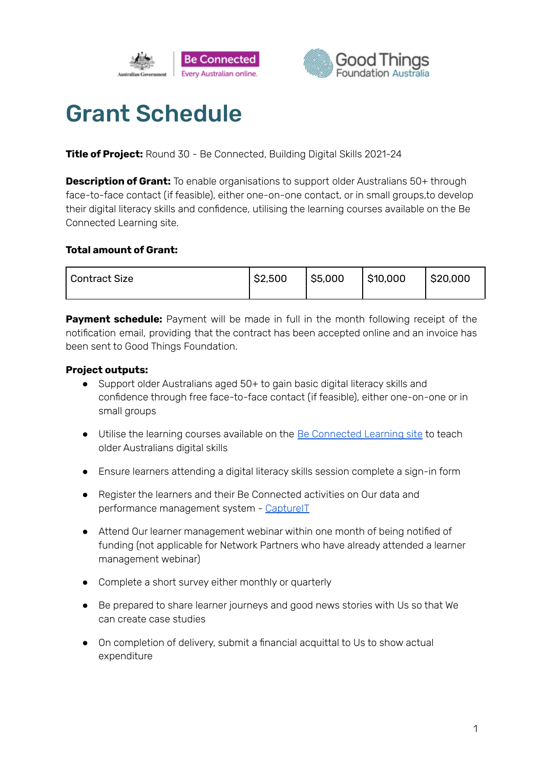



# Grant Schedule

**Title of Project:** Round 30 - Be Connected, Building Digital Skills 2021-24

**Description of Grant:** To enable organisations to support older Australians 50+ through face-to-face contact (if feasible), either one-on-one contact, or in small groups,to develop their digital literacy skills and confidence, utilising the learning courses available on the Be Connected Learning site.

#### **Total amount of Grant:**

| <sup>1</sup> Contract Size | \$2,500 | $ $ \$5,000 | \$10,000 | \$20,000 |
|----------------------------|---------|-------------|----------|----------|
|                            |         |             |          |          |

**Payment schedule:** Payment will be made in full in the month following receipt of the notification email, providing that the contract has been accepted online and an invoice has been sent to Good Things Foundation.

# **Project outputs:**

- Support older Australians aged 50+ to gain basic digital literacy skills and confidence through free face-to-face contact (if feasible), either one-on-one or in small groups
- Utilise the learning courses available on the Be [Connected](https://beconnected.esafety.gov.au/topic-library) Learning site to teach older Australians digital skills
- Ensure learners attending a digital literacy skills session complete a sign-in form
- Register the learners and their Be Connected activities on Our data and performance management system - [CaptureIT](https://www.beconnectednetwork.org.au/sites/default/files/registering_learners_with_captureit.pdf)
- Attend Our learner management webinar within one month of being notified of funding (not applicable for Network Partners who have already attended a learner management webinar)
- Complete a short survey either monthly or quarterly
- Be prepared to share learner journeys and good news stories with Us so that We can create case studies
- On completion of delivery, submit a financial acquittal to Us to show actual expenditure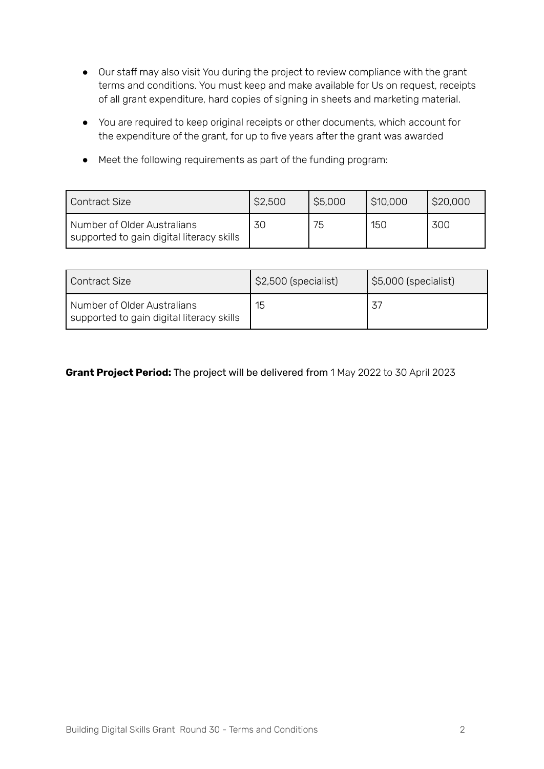- Our staff may also visit You during the project to review compliance with the grant terms and conditions. You must keep and make available for Us on request, receipts of all grant expenditure, hard copies of signing in sheets and marketing material.
- You are required to keep original receipts or other documents, which account for the expenditure of the grant, for up to five years after the grant was awarded
- Meet the following requirements as part of the funding program:

| Contract Size                                                            | \$2,500 | \$5,000 | \$10,000 | \$20,000 |
|--------------------------------------------------------------------------|---------|---------|----------|----------|
| Number of Older Australians<br>supported to gain digital literacy skills | 30      | 75      | 150      | 300      |

| Contract Size                                                            | \$2,500 (specialist) | $\mid$ \$5,000 (specialist) |  |
|--------------------------------------------------------------------------|----------------------|-----------------------------|--|
| Number of Older Australians<br>supported to gain digital literacy skills | 15                   |                             |  |

# **Grant Project Period:** The project will be delivered from 1 May 2022 to 30 April 2023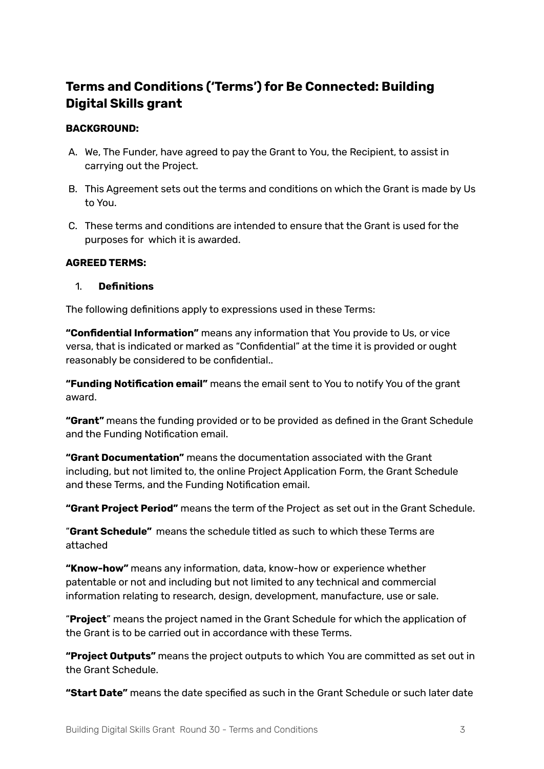# **Terms and Conditions ('Terms') for Be Connected: Building Digital Skills grant**

#### **BACKGROUND:**

- A. We, The Funder, have agreed to pay the Grant to You, the Recipient, to assist in carrying out the Project.
- B. This Agreement sets out the terms and conditions on which the Grant is made by Us to You.
- C. These terms and conditions are intended to ensure that the Grant is used for the purposes for which it is awarded.

#### **AGREED TERMS:**

#### 1. **Definitions**

The following definitions apply to expressions used in these Terms:

**"Confidential Information"** means any information that You provide to Us, or vice versa, that is indicated or marked as "Confidential" at the time it is provided or ought reasonably be considered to be confidential..

**"Funding Notification email"** means the email sent to You to notify You of the grant award.

**"Grant"** means the funding provided or to be provided as defined in the Grant Schedule and the Funding Notification email.

**"Grant Documentation"** means the documentation associated with the Grant including, but not limited to, the online Project Application Form, the Grant Schedule and these Terms, and the Funding Notification email.

**"Grant Project Period"** means the term of the Project as set out in the Grant Schedule.

"**Grant Schedule"** means the schedule titled as such to which these Terms are attached

**"Know-how"** means any information, data, know-how or experience whether patentable or not and including but not limited to any technical and commercial information relating to research, design, development, manufacture, use or sale.

"**Project**" means the project named in the Grant Schedule for which the application of the Grant is to be carried out in accordance with these Terms.

**"Project Outputs"** means the project outputs to which You are committed as set out in the Grant Schedule.

**"Start Date"** means the date specified as such in the Grant Schedule or such later date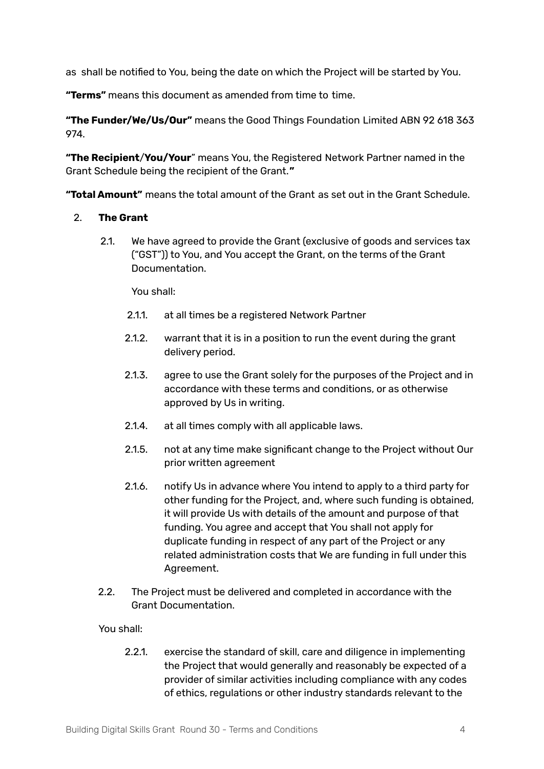as shall be notified to You, being the date on which the Project will be started by You.

**"Terms"** means this document as amended from time to time.

**"The Funder/We/Us/Our"** means the Good Things Foundation Limited ABN 92 618 363 974.

**"The Recipient**/**You/Your**" means You, the Registered Network Partner named in the Grant Schedule being the recipient of the Grant.**"**

**"Total Amount"** means the total amount of the Grant as set out in the Grant Schedule.

#### 2. **The Grant**

2.1. We have agreed to provide the Grant (exclusive of goods and services tax ("GST")) to You, and You accept the Grant, on the terms of the Grant Documentation.

You shall:

- 2.1.1. at all times be a registered Network Partner
- 2.1.2. warrant that it is in a position to run the event during the grant delivery period.
- 2.1.3. agree to use the Grant solely for the purposes of the Project and in accordance with these terms and conditions, or as otherwise approved by Us in writing.
- 2.1.4. at all times comply with all applicable laws.
- 2.1.5. not at any time make significant change to the Project without Our prior written agreement
- 2.1.6. notify Us in advance where You intend to apply to a third party for other funding for the Project, and, where such funding is obtained, it will provide Us with details of the amount and purpose of that funding. You agree and accept that You shall not apply for duplicate funding in respect of any part of the Project or any related administration costs that We are funding in full under this Agreement.
- 2.2. The Project must be delivered and completed in accordance with the Grant Documentation.

You shall:

2.2.1. exercise the standard of skill, care and diligence in implementing the Project that would generally and reasonably be expected of a provider of similar activities including compliance with any codes of ethics, regulations or other industry standards relevant to the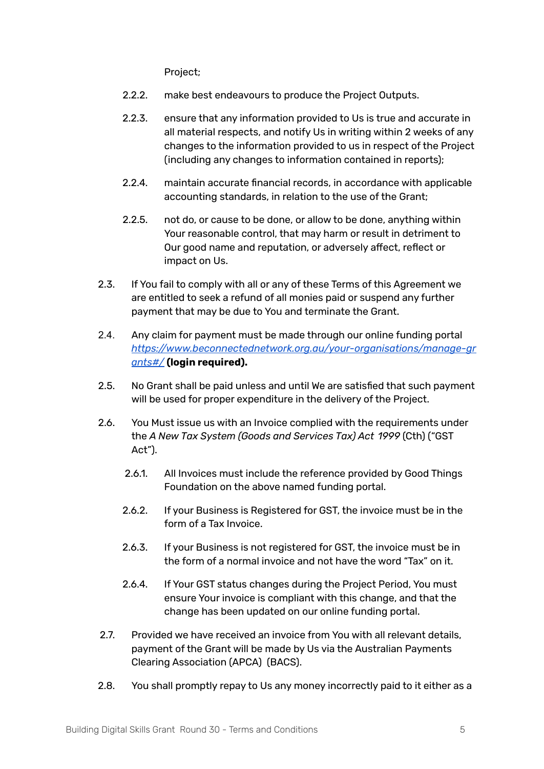Project;

- 2.2.2. make best endeavours to produce the Project Outputs.
- 2.2.3. ensure that any information provided to Us is true and accurate in all material respects, and notify Us in writing within 2 weeks of any changes to the information provided to us in respect of the Project (including any changes to information contained in reports);
- 2.2.4. maintain accurate financial records, in accordance with applicable accounting standards, in relation to the use of the Grant;
- 2.2.5. not do, or cause to be done, or allow to be done, anything within Your reasonable control, that may harm or result in detriment to Our good name and reputation, or adversely affect, reflect or impact on Us.
- 2.3. If You fail to comply with all or any of these Terms of this Agreement we are entitled to seek a refund of all monies paid or suspend any further payment that may be due to You and terminate the Grant.
- 2.4. Any claim for payment must be made through our online funding portal *https:/ [www.beconnectednetwork.org.au/your-organisations/manage-gr](https://www.beconnectednetwork.org.au/your-organisations/manage-grants#/) [ants#/](https://www.beconnectednetwork.org.au/your-organisations/manage-grants#/)* **(login required).**
- 2.5. No Grant shall be paid unless and until We are satisfied that such payment will be used for proper expenditure in the delivery of the Project.
- 2.6. You Must issue us with an Invoice complied with the requirements under the *A New Tax System (Goods and Services Tax) Act 1999* (Cth) ("GST Act").
	- 2.6.1. All Invoices must include the reference provided by Good Things Foundation on the above named funding portal.
	- 2.6.2. If your Business is Registered for GST, the invoice must be in the form of a Tax Invoice.
	- 2.6.3. If your Business is not registered for GST, the invoice must be in the form of a normal invoice and not have the word "Tax" on it.
	- 2.6.4. If Your GST status changes during the Project Period, You must ensure Your invoice is compliant with this change, and that the change has been updated on our online funding portal.
- 2.7. Provided we have received an invoice from You with all relevant details, payment of the Grant will be made by Us via the Australian Payments Clearing Association (APCA) (BACS).
- 2.8. You shall promptly repay to Us any money incorrectly paid to it either as a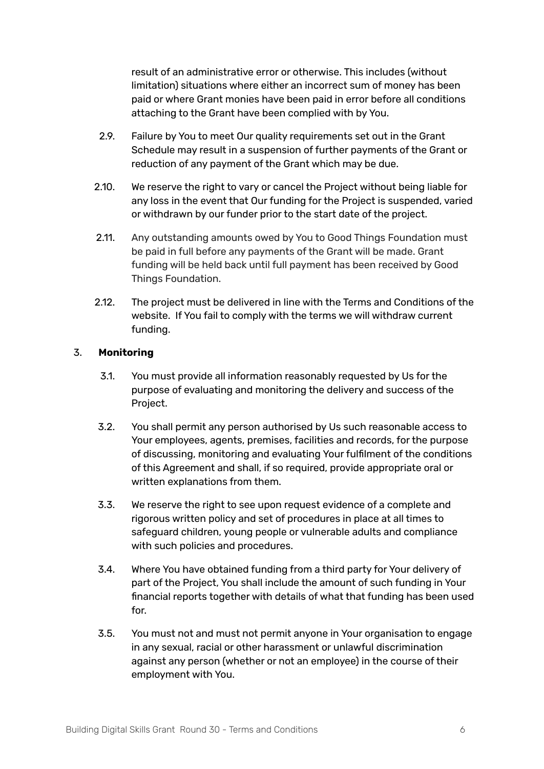result of an administrative error or otherwise. This includes (without limitation) situations where either an incorrect sum of money has been paid or where Grant monies have been paid in error before all conditions attaching to the Grant have been complied with by You.

- 2.9. Failure by You to meet Our quality requirements set out in the Grant Schedule may result in a suspension of further payments of the Grant or reduction of any payment of the Grant which may be due.
- 2.10. We reserve the right to vary or cancel the Project without being liable for any loss in the event that Our funding for the Project is suspended, varied or withdrawn by our funder prior to the start date of the project.
- 2.11. Any outstanding amounts owed by You to Good Things Foundation must be paid in full before any payments of the Grant will be made. Grant funding will be held back until full payment has been received by Good Things Foundation.
- 2.12. The project must be delivered in line with the Terms and Conditions of the website. If You fail to comply with the terms we will withdraw current funding.

# 3. **Monitoring**

- 3.1. You must provide all information reasonably requested by Us for the purpose of evaluating and monitoring the delivery and success of the Project.
- 3.2. You shall permit any person authorised by Us such reasonable access to Your employees, agents, premises, facilities and records, for the purpose of discussing, monitoring and evaluating Your fulfilment of the conditions of this Agreement and shall, if so required, provide appropriate oral or written explanations from them.
- 3.3. We reserve the right to see upon request evidence of a complete and rigorous written policy and set of procedures in place at all times to safeguard children, young people or vulnerable adults and compliance with such policies and procedures.
- 3.4. Where You have obtained funding from a third party for Your delivery of part of the Project, You shall include the amount of such funding in Your financial reports together with details of what that funding has been used for.
- 3.5. You must not and must not permit anyone in Your organisation to engage in any sexual, racial or other harassment or unlawful discrimination against any person (whether or not an employee) in the course of their employment with You.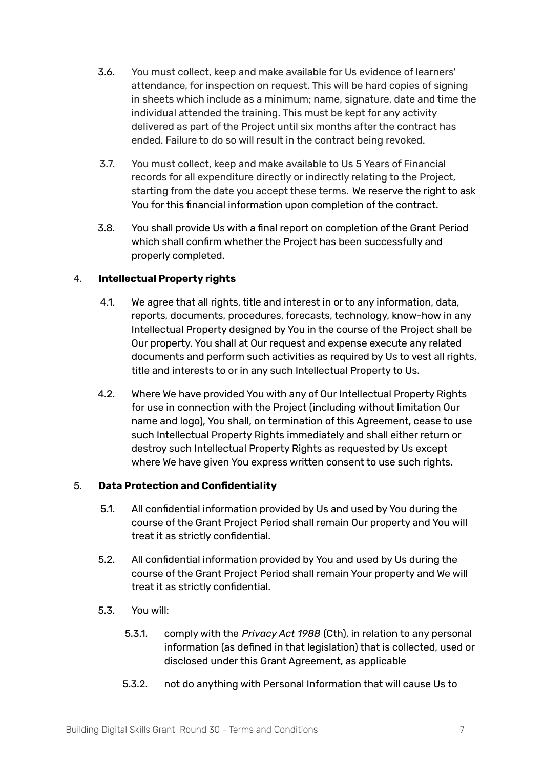- 3.6. You must collect, keep and make available for Us evidence of learners' attendance, for inspection on request. This will be hard copies of signing in sheets which include as a minimum; name, signature, date and time the individual attended the training. This must be kept for any activity delivered as part of the Project until six months after the contract has ended. Failure to do so will result in the contract being revoked.
- 3.7. You must collect, keep and make available to Us 5 Years of Financial records for all expenditure directly or indirectly relating to the Project, starting from the date you accept these terms. We reserve the right to ask You for this financial information upon completion of the contract.
- 3.8. You shall provide Us with a final report on completion of the Grant Period which shall confirm whether the Project has been successfully and properly completed.

# 4. **Intellectual Property rights**

- 4.1. We agree that all rights, title and interest in or to any information, data, reports, documents, procedures, forecasts, technology, know-how in any Intellectual Property designed by You in the course of the Project shall be Our property. You shall at Our request and expense execute any related documents and perform such activities as required by Us to vest all rights, title and interests to or in any such Intellectual Property to Us.
- 4.2. Where We have provided You with any of Our Intellectual Property Rights for use in connection with the Project (including without limitation Our name and logo), You shall, on termination of this Agreement, cease to use such Intellectual Property Rights immediately and shall either return or destroy such Intellectual Property Rights as requested by Us except where We have given You express written consent to use such rights.

# 5. **Data Protection and Confidentiality**

- 5.1. All confidential information provided by Us and used by You during the course of the Grant Project Period shall remain Our property and You will treat it as strictly confidential.
- 5.2. All confidential information provided by You and used by Us during the course of the Grant Project Period shall remain Your property and We will treat it as strictly confidential.
- 5.3. You will:
	- 5.3.1. comply with the *Privacy Act 1988* (Cth), in relation to any personal information (as defined in that legislation) that is collected, used or disclosed under this Grant Agreement, as applicable
	- 5.3.2. not do anything with Personal Information that will cause Us to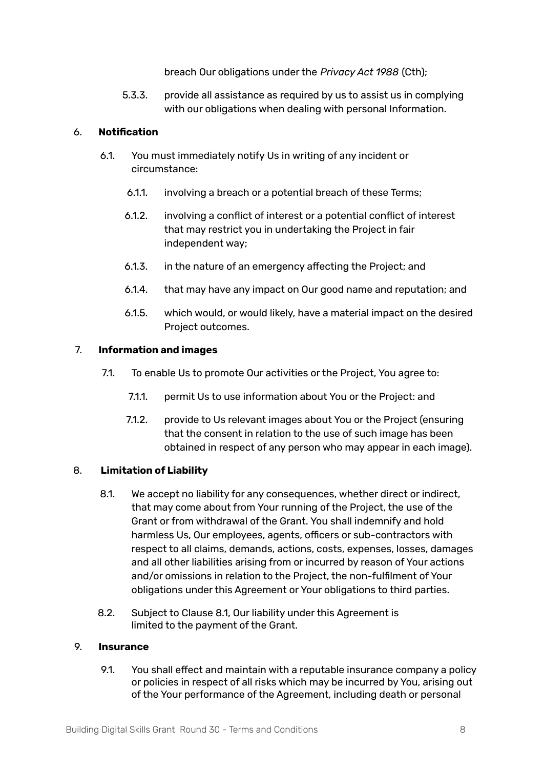breach Our obligations under the *Privacy Act 1988* (Cth);

5.3.3. provide all assistance as required by us to assist us in complying with our obligations when dealing with personal Information.

#### 6. **Notification**

- 6.1. You must immediately notify Us in writing of any incident or circumstance:
	- 6.1.1. involving a breach or a potential breach of these Terms;
	- 6.1.2. involving a conflict of interest or a potential conflict of interest that may restrict you in undertaking the Project in fair independent way;
	- 6.1.3. in the nature of an emergency affecting the Project; and
	- 6.1.4. that may have any impact on Our good name and reputation; and
	- 6.1.5. which would, or would likely, have a material impact on the desired Project outcomes.

#### 7. **Information and images**

- 7.1. To enable Us to promote Our activities or the Project, You agree to:
	- 7.1.1. permit Us to use information about You or the Project: and
	- 7.1.2. provide to Us relevant images about You or the Project (ensuring that the consent in relation to the use of such image has been obtained in respect of any person who may appear in each image).

# 8. **Limitation of Liability**

- 8.1. We accept no liability for any consequences, whether direct or indirect, that may come about from Your running of the Project, the use of the Grant or from withdrawal of the Grant. You shall indemnify and hold harmless Us, Our employees, agents, officers or sub-contractors with respect to all claims, demands, actions, costs, expenses, losses, damages and all other liabilities arising from or incurred by reason of Your actions and/or omissions in relation to the Project, the non-fulfilment of Your obligations under this Agreement or Your obligations to third parties.
- 8.2. Subject to Clause 8.1, Our liability under this Agreement is limited to the payment of the Grant.

#### 9. **Insurance**

9.1. You shall effect and maintain with a reputable insurance company a policy or policies in respect of all risks which may be incurred by You, arising out of the Your performance of the Agreement, including death or personal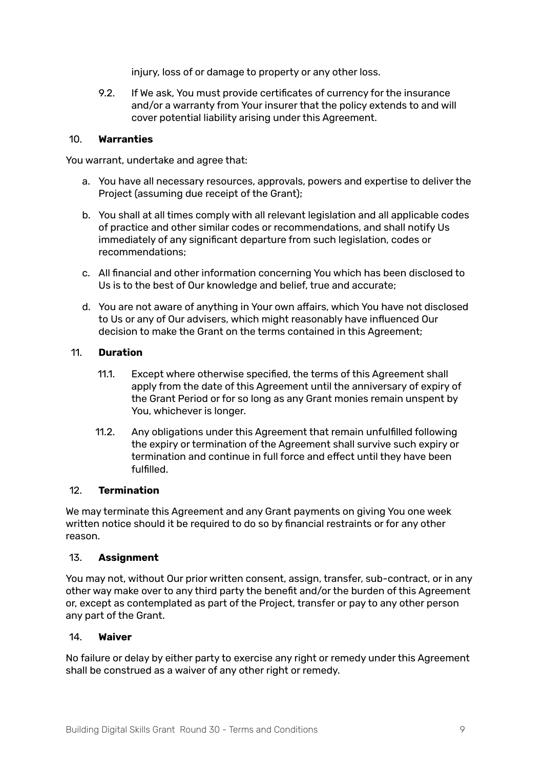injury, loss of or damage to property or any other loss.

9.2. If We ask, You must provide certificates of currency for the insurance and/or a warranty from Your insurer that the policy extends to and will cover potential liability arising under this Agreement.

#### 10. **Warranties**

You warrant, undertake and agree that:

- a. You have all necessary resources, approvals, powers and expertise to deliver the Project (assuming due receipt of the Grant);
- b. You shall at all times comply with all relevant legislation and all applicable codes of practice and other similar codes or recommendations, and shall notify Us immediately of any significant departure from such legislation, codes or recommendations;
- c. All financial and other information concerning You which has been disclosed to Us is to the best of Our knowledge and belief, true and accurate;
- d. You are not aware of anything in Your own affairs, which You have not disclosed to Us or any of Our advisers, which might reasonably have influenced Our decision to make the Grant on the terms contained in this Agreement;

#### 11. **Duration**

- 11.1. Except where otherwise specified, the terms of this Agreement shall apply from the date of this Agreement until the anniversary of expiry of the Grant Period or for so long as any Grant monies remain unspent by You, whichever is longer.
- 11.2. Any obligations under this Agreement that remain unfulfilled following the expiry or termination of the Agreement shall survive such expiry or termination and continue in full force and effect until they have been fulfilled.

#### 12. **Termination**

We may terminate this Agreement and any Grant payments on giving You one week written notice should it be required to do so by financial restraints or for any other reason.

#### 13. **Assignment**

You may not, without Our prior written consent, assign, transfer, sub-contract, or in any other way make over to any third party the benefit and/or the burden of this Agreement or, except as contemplated as part of the Project, transfer or pay to any other person any part of the Grant.

#### 14. **Waiver**

No failure or delay by either party to exercise any right or remedy under this Agreement shall be construed as a waiver of any other right or remedy.